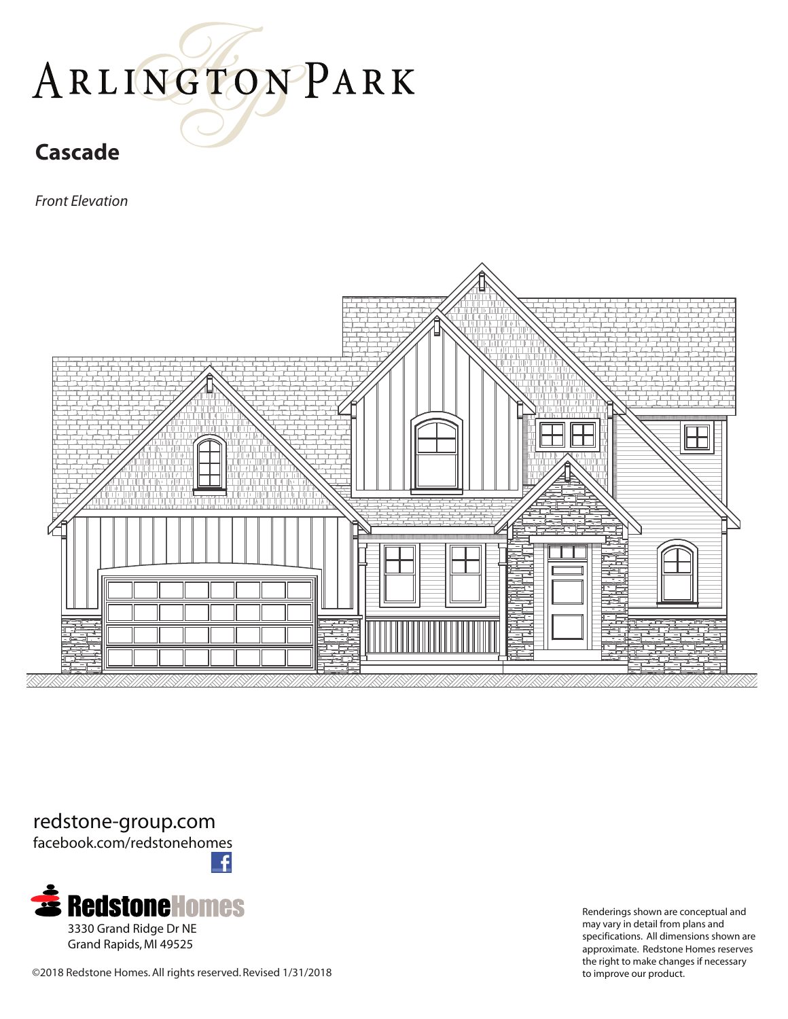## ARLINGTONPARK

## **Cascade**

*Front Elevation*



redstone-group.com facebook.com/redstonehomes



©2018 Redstone Homes. All rights reserved. Revised 1/31/2018 to improve our product.

Renderings shown are conceptual and may vary in detail from plans and specifications. All dimensions shown are approximate. Redstone Homes reserves the right to make changes if necessary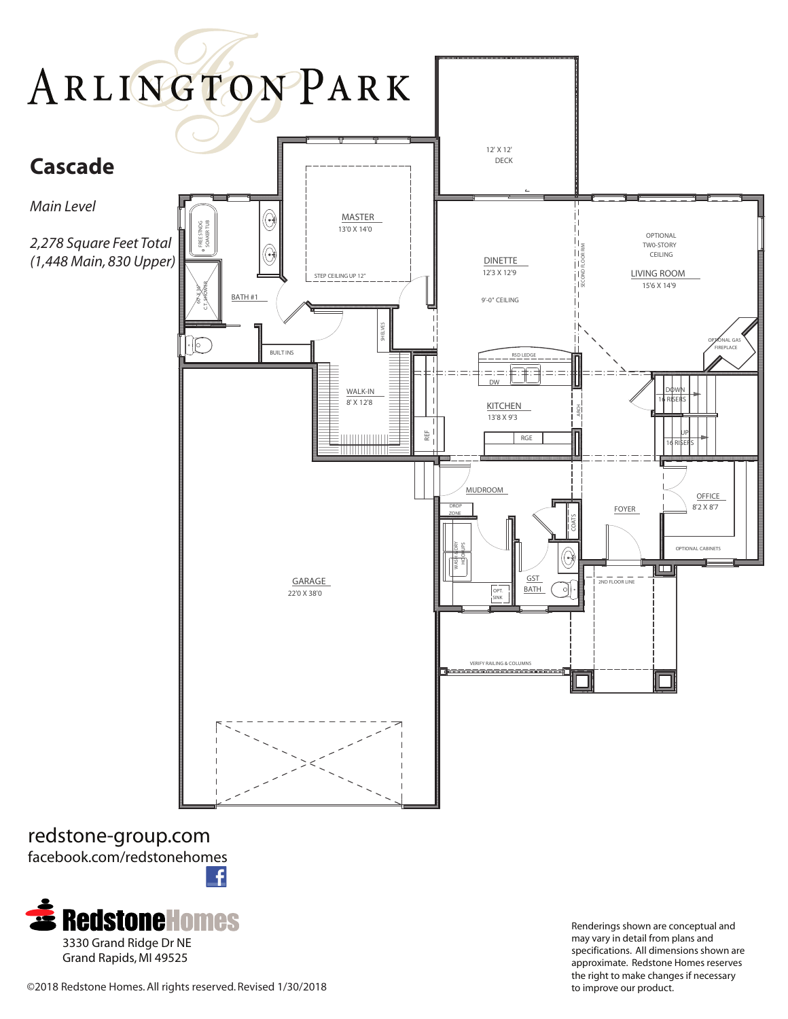

redstone-group.com facebook.com/redstonehomes £



Renderings shown are conceptual and may vary in detail from plans and specifications. All dimensions shown are approximate. Redstone Homes reserves the right to make changes if necessary